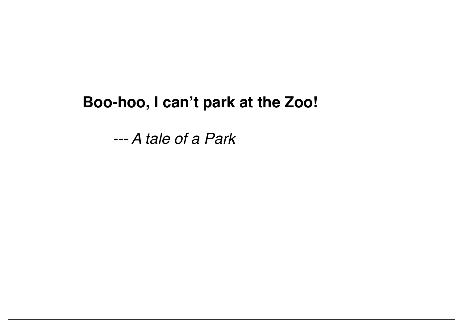#### **Boo-hoo, I can't park at the Zoo!**

*--- A tale of a Park*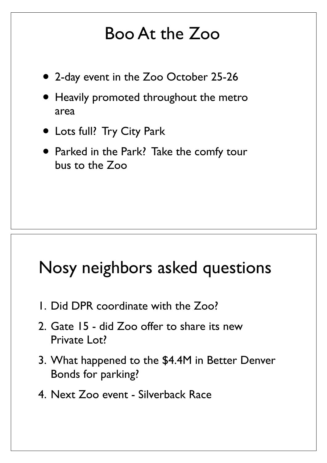#### Boo At the Zoo

- 2-day event in the Zoo October 25-26
- Heavily promoted throughout the metro area
- Lots full? Try City Park
- Parked in the Park? Take the comfy tour bus to the Zoo

#### Nosy neighbors asked questions

- 1. Did DPR coordinate with the Zoo?
- 2. Gate 15 did Zoo offer to share its new Private Lot?
- 3. What happened to the \$4.4M in Better Denver Bonds for parking?
- 4. Next Zoo event Silverback Race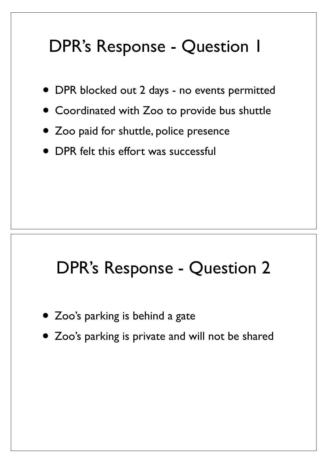# DPR's Response - Question 1

- DPR blocked out 2 days no events permitted
- Coordinated with Zoo to provide bus shuttle
- Zoo paid for shuttle, police presence
- DPR felt this effort was successful

#### DPR's Response - Question 2

- Zoo's parking is behind a gate
- Zoo's parking is private and will not be shared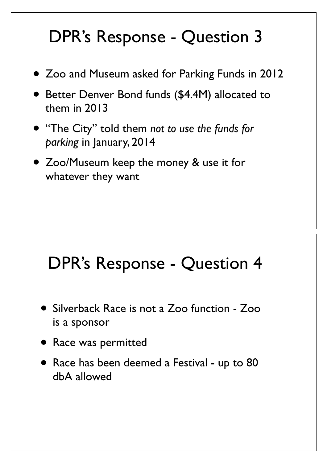# DPR's Response - Question 3

- Zoo and Museum asked for Parking Funds in 2012
- Better Denver Bond funds (\$4.4M) allocated to them in 2013
- "The City" told them *not to use the funds for parking* in January, 2014
- Zoo/Museum keep the money & use it for whatever they want

## DPR's Response - Question 4

- Silverback Race is not a Zoo function Zoo is a sponsor
- Race was permitted
- Race has been deemed a Festival up to 80 dbA allowed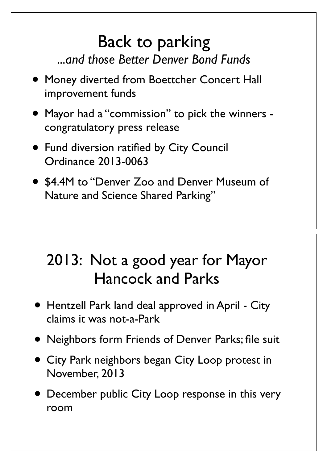#### Back to parking *...and those Better Denver Bond Funds*

- Money diverted from Boettcher Concert Hall improvement funds
- Mayor had a "commission" to pick the winners congratulatory press release
- Fund diversion ratified by City Council Ordinance 2013-0063
- \$4.4M to "Denver Zoo and Denver Museum of Nature and Science Shared Parking"

#### 2013: Not a good year for Mayor Hancock and Parks

- Hentzell Park land deal approved in April City claims it was not-a-Park
- Neighbors form Friends of Denver Parks; file suit
- City Park neighbors began City Loop protest in November, 2013
- December public City Loop response in this very room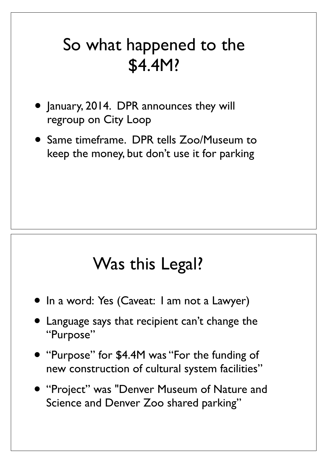#### So what happened to the \$4.4M?

- January, 2014. DPR announces they will regroup on City Loop
- Same timeframe. DPR tells Zoo/Museum to keep the money, but don't use it for parking

#### Was this Legal?

- In a word: Yes (Caveat: I am not a Lawyer)
- Language says that recipient can't change the "Purpose"
- "Purpose" for \$4.4M was "For the funding of new construction of cultural system facilities"
- "Project" was "Denver Museum of Nature and Science and Denver Zoo shared parking"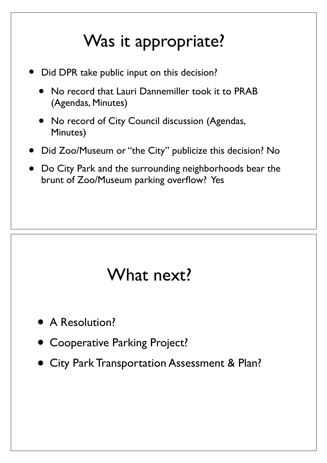# Was it appropriate?

- Did DPR take public input on this decision?
	- No record that Lauri Dannemiller took it to PRAB (Agendas, Minutes)
	- No record of City Council discussion (Agendas, Minutes)
- Did Zoo/Museum or "the City" publicize this decision? No
- Do City Park and the surrounding neighborhoods bear the brunt of Zoo/Museum parking overflow? Yes

#### What next?

- A Resolution?
- **Cooperative Parking Project?**
- City Park Transportation Assessment & Plan?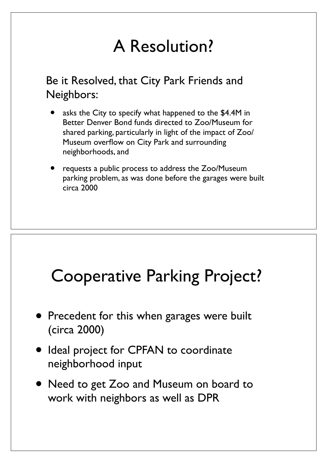## A Resolution?

Be it Resolved, that City Park Friends and Neighbors:

- asks the City to specify what happened to the \$4.4M in Better Denver Bond funds directed to Zoo/Museum for shared parking, particularly in light of the impact of Zoo/ Museum overflow on City Park and surrounding neighborhoods, and
- requests a public process to address the Zoo/Museum parking problem, as was done before the garages were built circa 2000

## Cooperative Parking Project?

- Precedent for this when garages were built (circa 2000)
- Ideal project for CPFAN to coordinate neighborhood input
- Need to get Zoo and Museum on board to work with neighbors as well as DPR